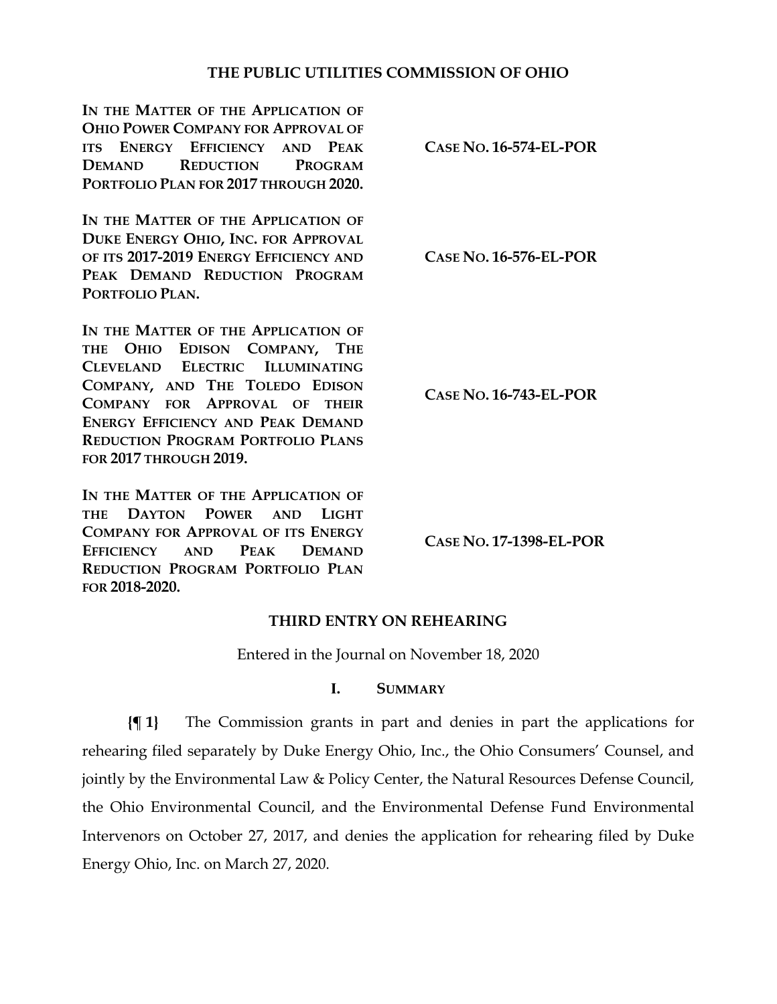## **THE PUBLIC UTILITIES COMMISSION OF OHIO**

**IN THE MATTER OF THE APPLICATION OF OHIO POWER COMPANY FOR APPROVAL OF ITS ENERGY EFFICIENCY AND PEAK DEMAND REDUCTION PROGRAM PORTFOLIO PLAN FOR 2017 THROUGH 2020.**

**IN THE MATTER OF THE APPLICATION OF DUKE ENERGY OHIO, INC. FOR APPROVAL OF ITS 2017-2019 ENERGY EFFICIENCY AND PEAK DEMAND REDUCTION PROGRAM PORTFOLIO PLAN.**

IN THE MATTER OF THE APPLICATION OF **THE OHIO EDISON COMPANY, THE CLEVELAND ELECTRIC ILLUMINATING COMPANY, AND THE TOLEDO EDISON COMPANY FOR APPROVAL OF THEIR ENERGY EFFICIENCY AND PEAK DEMAND REDUCTION PROGRAM PORTFOLIO PLANS FOR 2017 THROUGH 2019.**

**IN THE MATTER OF THE APPLICATION OF THE DAYTON POWER AND LIGHT COMPANY FOR APPROVAL OF ITS ENERGY EFFICIENCY AND PEAK DEMAND REDUCTION PROGRAM PORTFOLIO PLAN FOR 2018-2020.**

**CASE NO. 16-574-EL-POR**

**CASE NO. 16-576-EL-POR**

**CASE NO. 16-743-EL-POR**

**CASE NO. 17-1398-EL-POR**

## **THIRD ENTRY ON REHEARING**

Entered in the Journal on November 18, 2020

## **I. SUMMARY**

**{¶ 1}** The Commission grants in part and denies in part the applications for rehearing filed separately by Duke Energy Ohio, Inc., the Ohio Consumers' Counsel, and jointly by the Environmental Law & Policy Center, the Natural Resources Defense Council, the Ohio Environmental Council, and the Environmental Defense Fund Environmental Intervenors on October 27, 2017, and denies the application for rehearing filed by Duke Energy Ohio, Inc. on March 27, 2020.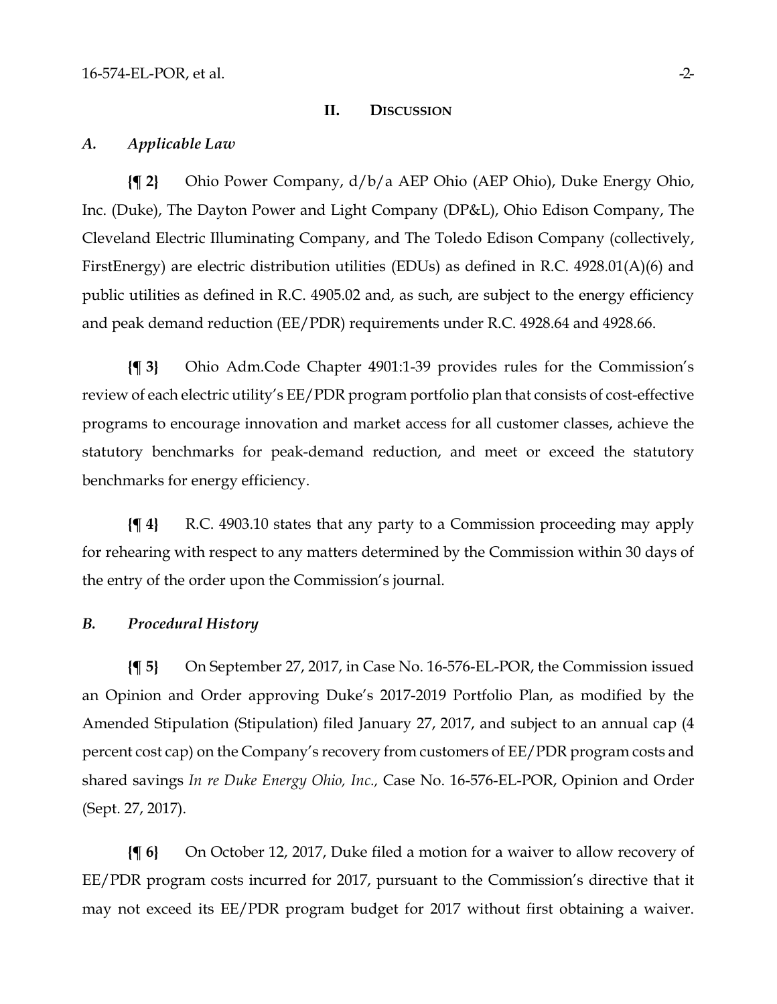#### **II. DISCUSSION**

#### *A. Applicable Law*

**{¶ 2}** Ohio Power Company, d/b/a AEP Ohio (AEP Ohio), Duke Energy Ohio, Inc. (Duke), The Dayton Power and Light Company (DP&L), Ohio Edison Company, The Cleveland Electric Illuminating Company, and The Toledo Edison Company (collectively, FirstEnergy) are electric distribution utilities (EDUs) as defined in R.C. 4928.01(A)(6) and public utilities as defined in R.C. 4905.02 and, as such, are subject to the energy efficiency and peak demand reduction (EE/PDR) requirements under R.C. 4928.64 and 4928.66.

**{¶ 3}** Ohio Adm.Code Chapter 4901:1-39 provides rules for the Commission's review of each electric utility's EE/PDR program portfolio plan that consists of cost-effective programs to encourage innovation and market access for all customer classes, achieve the statutory benchmarks for peak-demand reduction, and meet or exceed the statutory benchmarks for energy efficiency.

**{¶ 4}** R.C. 4903.10 states that any party to a Commission proceeding may apply for rehearing with respect to any matters determined by the Commission within 30 days of the entry of the order upon the Commission's journal.

## *B. Procedural History*

**{¶ 5}** On September 27, 2017, in Case No. 16-576-EL-POR, the Commission issued an Opinion and Order approving Duke's 2017-2019 Portfolio Plan, as modified by the Amended Stipulation (Stipulation) filed January 27, 2017, and subject to an annual cap (4 percent cost cap) on the Company's recovery from customers of EE/PDR program costs and shared savings *In re Duke Energy Ohio, Inc.,* Case No. 16-576-EL-POR, Opinion and Order (Sept. 27, 2017).

**{¶ 6}** On October 12, 2017, Duke filed a motion for a waiver to allow recovery of EE/PDR program costs incurred for 2017, pursuant to the Commission's directive that it may not exceed its EE/PDR program budget for 2017 without first obtaining a waiver.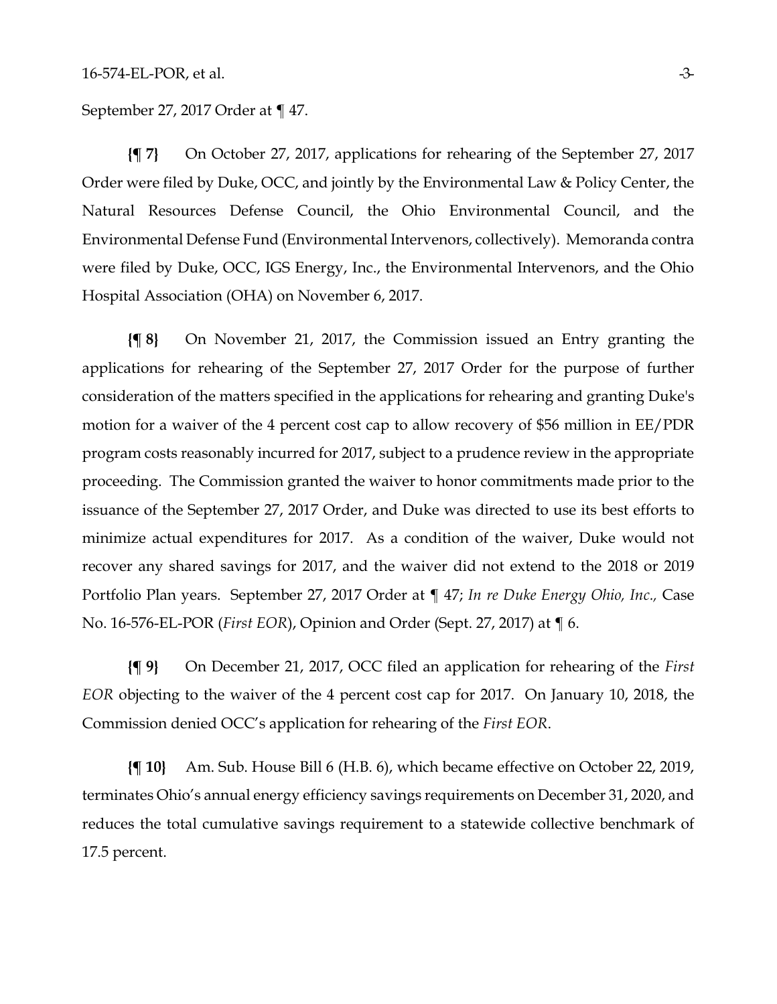September 27, 2017 Order at ¶ 47.

**{¶ 7}** On October 27, 2017, applications for rehearing of the September 27, 2017 Order were filed by Duke, OCC, and jointly by the Environmental Law & Policy Center, the Natural Resources Defense Council, the Ohio Environmental Council, and the Environmental Defense Fund (Environmental Intervenors, collectively). Memoranda contra were filed by Duke, OCC, IGS Energy, Inc., the Environmental Intervenors, and the Ohio Hospital Association (OHA) on November 6, 2017.

**{¶ 8}** On November 21, 2017, the Commission issued an Entry granting the applications for rehearing of the September 27, 2017 Order for the purpose of further consideration of the matters specified in the applications for rehearing and granting Duke's motion for a waiver of the 4 percent cost cap to allow recovery of \$56 million in EE/PDR program costs reasonably incurred for 2017, subject to a prudence review in the appropriate proceeding. The Commission granted the waiver to honor commitments made prior to the issuance of the September 27, 2017 Order, and Duke was directed to use its best efforts to minimize actual expenditures for 2017. As a condition of the waiver, Duke would not recover any shared savings for 2017, and the waiver did not extend to the 2018 or 2019 Portfolio Plan years. September 27, 2017 Order at ¶ 47; *In re Duke Energy Ohio, Inc.,* Case No. 16-576-EL-POR (*First EOR*), Opinion and Order (Sept. 27, 2017) at ¶ 6.

**{¶ 9}** On December 21, 2017, OCC filed an application for rehearing of the *First EOR* objecting to the waiver of the 4 percent cost cap for 2017. On January 10, 2018, the Commission denied OCC's application for rehearing of the *First EOR*.

**{¶ 10}** Am. Sub. House Bill 6 (H.B. 6), which became effective on October 22, 2019, terminates Ohio's annual energy efficiency savings requirements on December 31, 2020, and reduces the total cumulative savings requirement to a statewide collective benchmark of 17.5 percent.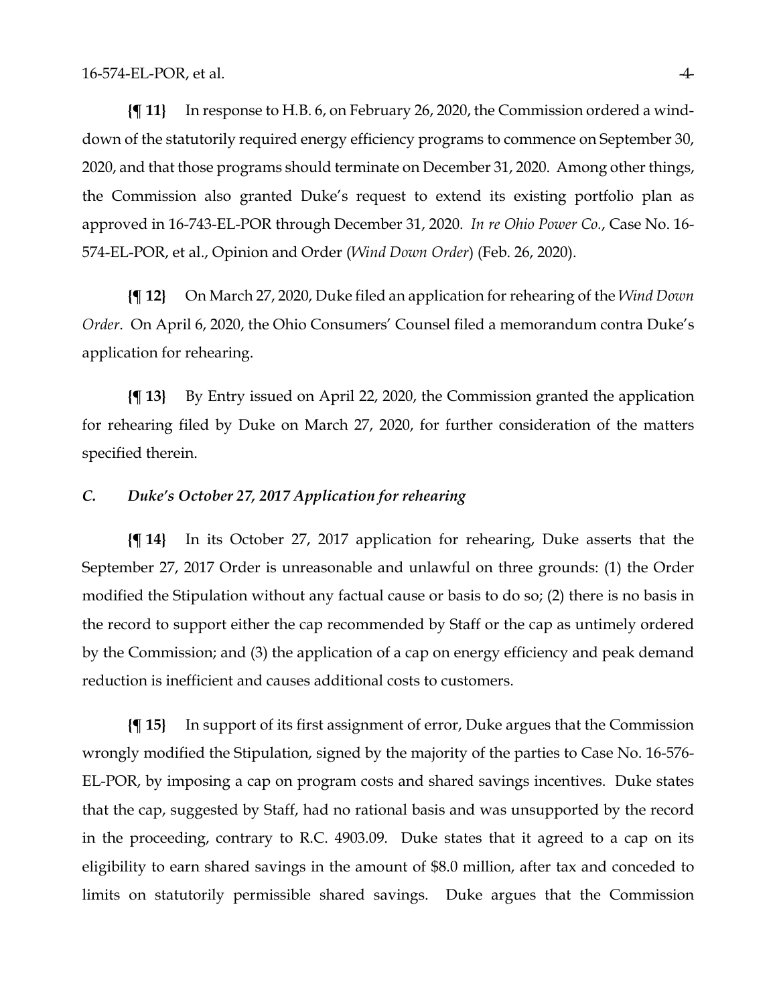**{¶ 11}** In response to H.B. 6, on February 26, 2020, the Commission ordered a winddown of the statutorily required energy efficiency programs to commence on September 30, 2020, and that those programs should terminate on December 31, 2020. Among other things, the Commission also granted Duke's request to extend its existing portfolio plan as approved in 16-743-EL-POR through December 31, 2020. *In re Ohio Power Co.*, Case No. 16- 574-EL-POR, et al., Opinion and Order (*Wind Down Order*) (Feb. 26, 2020).

**{¶ 12}** On March 27, 2020, Duke filed an application for rehearing of the *Wind Down Order*. On April 6, 2020, the Ohio Consumers' Counsel filed a memorandum contra Duke's application for rehearing.

**{¶ 13}** By Entry issued on April 22, 2020, the Commission granted the application for rehearing filed by Duke on March 27, 2020, for further consideration of the matters specified therein.

## *C. Duke's October 27, 2017 Application for rehearing*

**{¶ 14}** In its October 27, 2017 application for rehearing, Duke asserts that the September 27, 2017 Order is unreasonable and unlawful on three grounds: (1) the Order modified the Stipulation without any factual cause or basis to do so; (2) there is no basis in the record to support either the cap recommended by Staff or the cap as untimely ordered by the Commission; and (3) the application of a cap on energy efficiency and peak demand reduction is inefficient and causes additional costs to customers.

**{¶ 15}** In support of its first assignment of error, Duke argues that the Commission wrongly modified the Stipulation, signed by the majority of the parties to Case No. 16-576- EL-POR, by imposing a cap on program costs and shared savings incentives. Duke states that the cap, suggested by Staff, had no rational basis and was unsupported by the record in the proceeding, contrary to R.C. 4903.09. Duke states that it agreed to a cap on its eligibility to earn shared savings in the amount of \$8.0 million, after tax and conceded to limits on statutorily permissible shared savings. Duke argues that the Commission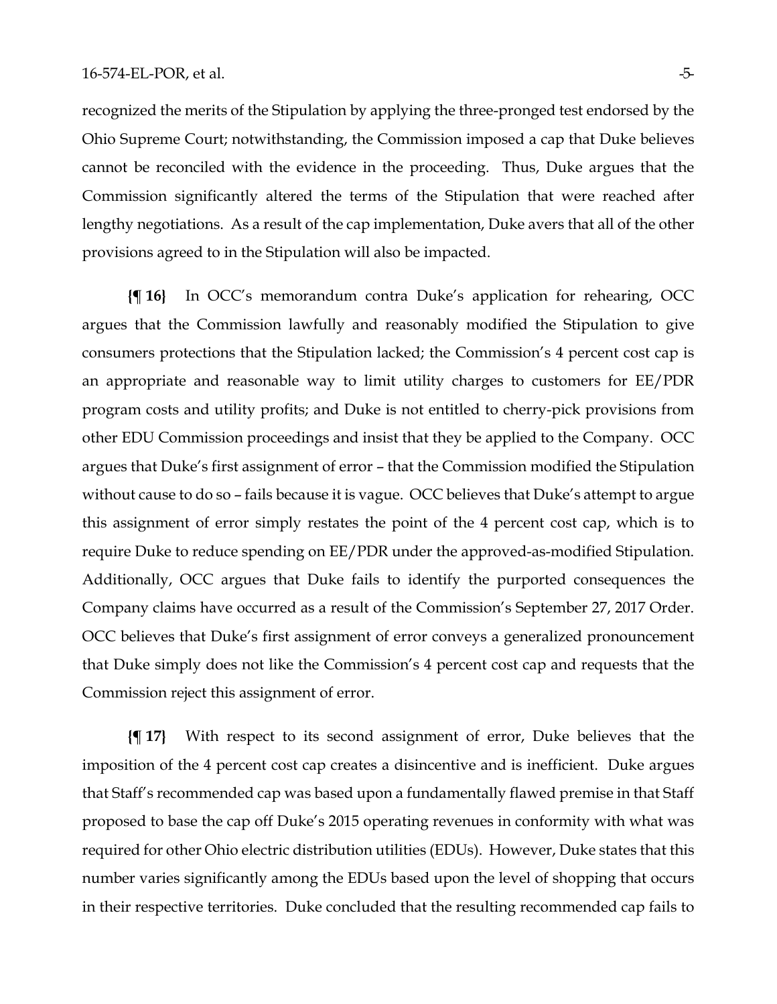recognized the merits of the Stipulation by applying the three-pronged test endorsed by the Ohio Supreme Court; notwithstanding, the Commission imposed a cap that Duke believes cannot be reconciled with the evidence in the proceeding. Thus, Duke argues that the Commission significantly altered the terms of the Stipulation that were reached after lengthy negotiations. As a result of the cap implementation, Duke avers that all of the other provisions agreed to in the Stipulation will also be impacted.

**{¶ 16}** In OCC's memorandum contra Duke's application for rehearing, OCC argues that the Commission lawfully and reasonably modified the Stipulation to give consumers protections that the Stipulation lacked; the Commission's 4 percent cost cap is an appropriate and reasonable way to limit utility charges to customers for EE/PDR program costs and utility profits; and Duke is not entitled to cherry-pick provisions from other EDU Commission proceedings and insist that they be applied to the Company. OCC argues that Duke's first assignment of error – that the Commission modified the Stipulation without cause to do so – fails because it is vague. OCC believes that Duke's attempt to argue this assignment of error simply restates the point of the 4 percent cost cap, which is to require Duke to reduce spending on EE/PDR under the approved-as-modified Stipulation. Additionally, OCC argues that Duke fails to identify the purported consequences the Company claims have occurred as a result of the Commission's September 27, 2017 Order. OCC believes that Duke's first assignment of error conveys a generalized pronouncement that Duke simply does not like the Commission's 4 percent cost cap and requests that the Commission reject this assignment of error.

**{¶ 17}** With respect to its second assignment of error, Duke believes that the imposition of the 4 percent cost cap creates a disincentive and is inefficient. Duke argues that Staff's recommended cap was based upon a fundamentally flawed premise in that Staff proposed to base the cap off Duke's 2015 operating revenues in conformity with what was required for other Ohio electric distribution utilities (EDUs). However, Duke states that this number varies significantly among the EDUs based upon the level of shopping that occurs in their respective territories. Duke concluded that the resulting recommended cap fails to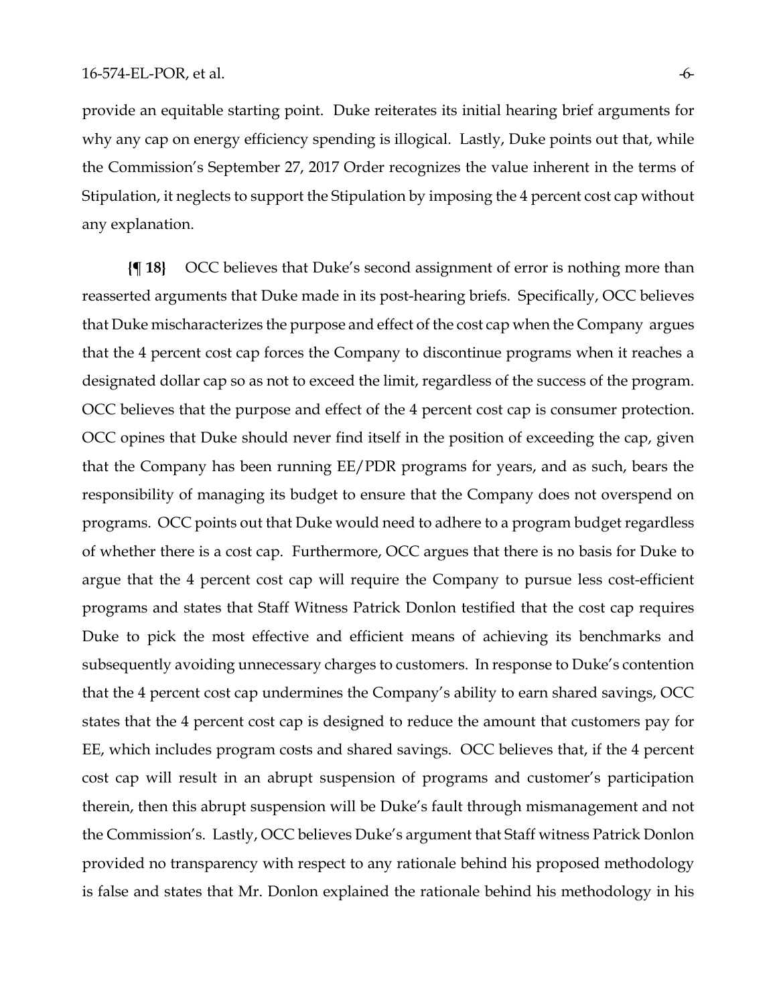provide an equitable starting point. Duke reiterates its initial hearing brief arguments for why any cap on energy efficiency spending is illogical. Lastly, Duke points out that, while the Commission's September 27, 2017 Order recognizes the value inherent in the terms of Stipulation, it neglects to support the Stipulation by imposing the 4 percent cost cap without any explanation.

**{¶ 18}** OCC believes that Duke's second assignment of error is nothing more than reasserted arguments that Duke made in its post-hearing briefs. Specifically, OCC believes that Duke mischaracterizes the purpose and effect of the cost cap when the Company argues that the 4 percent cost cap forces the Company to discontinue programs when it reaches a designated dollar cap so as not to exceed the limit, regardless of the success of the program. OCC believes that the purpose and effect of the 4 percent cost cap is consumer protection. OCC opines that Duke should never find itself in the position of exceeding the cap, given that the Company has been running EE/PDR programs for years, and as such, bears the responsibility of managing its budget to ensure that the Company does not overspend on programs. OCC points out that Duke would need to adhere to a program budget regardless of whether there is a cost cap. Furthermore, OCC argues that there is no basis for Duke to argue that the 4 percent cost cap will require the Company to pursue less cost-efficient programs and states that Staff Witness Patrick Donlon testified that the cost cap requires Duke to pick the most effective and efficient means of achieving its benchmarks and subsequently avoiding unnecessary charges to customers. In response to Duke's contention that the 4 percent cost cap undermines the Company's ability to earn shared savings, OCC states that the 4 percent cost cap is designed to reduce the amount that customers pay for EE, which includes program costs and shared savings. OCC believes that, if the 4 percent cost cap will result in an abrupt suspension of programs and customer's participation therein, then this abrupt suspension will be Duke's fault through mismanagement and not the Commission's. Lastly, OCC believes Duke's argument that Staff witness Patrick Donlon provided no transparency with respect to any rationale behind his proposed methodology is false and states that Mr. Donlon explained the rationale behind his methodology in his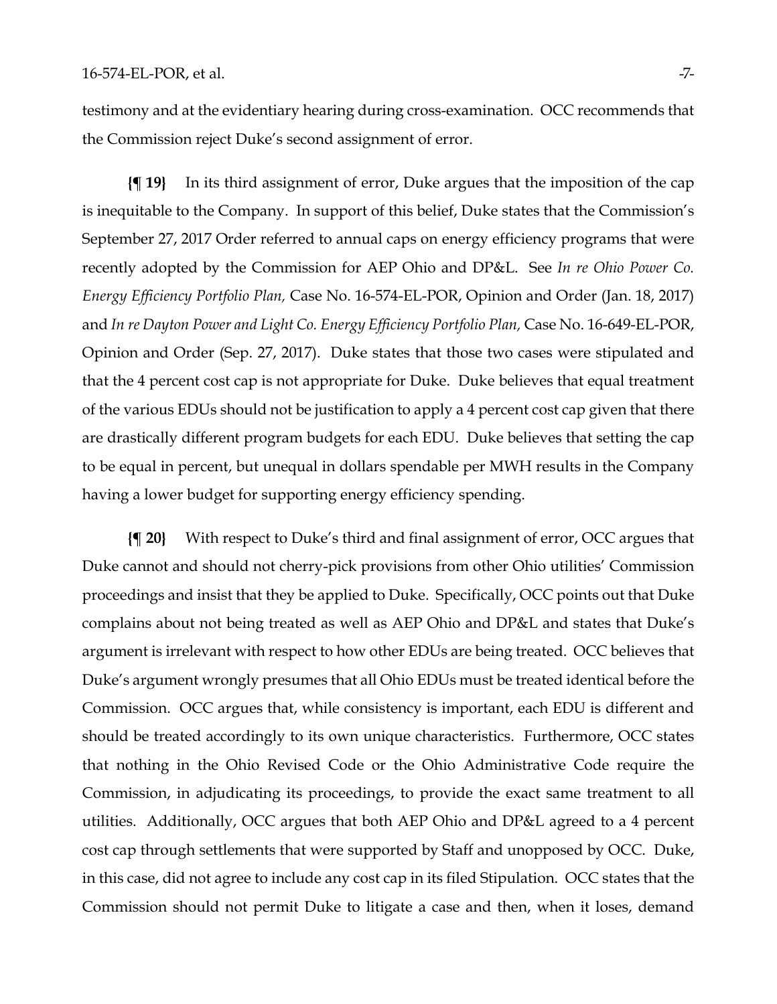testimony and at the evidentiary hearing during cross-examination. OCC recommends that the Commission reject Duke's second assignment of error.

**{¶ 19}** In its third assignment of error, Duke argues that the imposition of the cap is inequitable to the Company. In support of this belief, Duke states that the Commission's September 27, 2017 Order referred to annual caps on energy efficiency programs that were recently adopted by the Commission for AEP Ohio and DP&L. See *In re Ohio Power Co. Energy Efficiency Portfolio Plan,* Case No. 16-574-EL-POR, Opinion and Order (Jan. 18, 2017) and In re Dayton Power and Light Co. Energy Efficiency Portfolio Plan, Case No. 16-649-EL-POR, Opinion and Order (Sep. 27, 2017). Duke states that those two cases were stipulated and that the 4 percent cost cap is not appropriate for Duke. Duke believes that equal treatment of the various EDUs should not be justification to apply a 4 percent cost cap given that there are drastically different program budgets for each EDU. Duke believes that setting the cap to be equal in percent, but unequal in dollars spendable per MWH results in the Company having a lower budget for supporting energy efficiency spending.

**{¶ 20}** With respect to Duke's third and final assignment of error, OCC argues that Duke cannot and should not cherry-pick provisions from other Ohio utilities' Commission proceedings and insist that they be applied to Duke. Specifically, OCC points out that Duke complains about not being treated as well as AEP Ohio and DP&L and states that Duke's argument is irrelevant with respect to how other EDUs are being treated. OCC believes that Duke's argument wrongly presumes that all Ohio EDUs must be treated identical before the Commission. OCC argues that, while consistency is important, each EDU is different and should be treated accordingly to its own unique characteristics. Furthermore, OCC states that nothing in the Ohio Revised Code or the Ohio Administrative Code require the Commission, in adjudicating its proceedings, to provide the exact same treatment to all utilities. Additionally, OCC argues that both AEP Ohio and DP&L agreed to a 4 percent cost cap through settlements that were supported by Staff and unopposed by OCC. Duke, in this case, did not agree to include any cost cap in its filed Stipulation. OCC states that the Commission should not permit Duke to litigate a case and then, when it loses, demand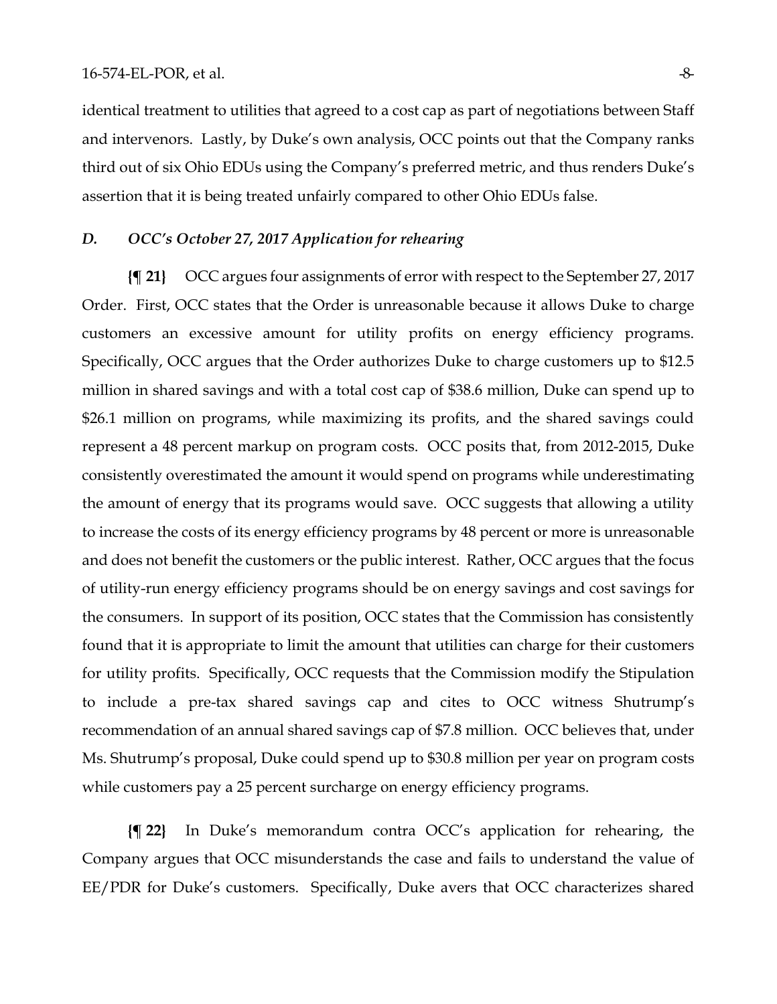#### $16\text{-}574\text{-}EL\text{-}POR$ , et al.  $\overline{8}$ - $\overline{8}$ - $\overline{8}$ - $\overline{8}$ - $\overline{8}$ - $\overline{8}$ - $\overline{8}$ - $\overline{8}$ - $\overline{8}$ - $\overline{8}$ - $\overline{8}$ - $\overline{8}$ - $\overline{8}$ - $\overline{8}$ - $\overline{8}$ - $\overline{8}$ - $\overline{8}$ - $\overline{8}$ - $\overline{8}$ - $\overline{8}$ - $\overline{8}$ -

identical treatment to utilities that agreed to a cost cap as part of negotiations between Staff and intervenors. Lastly, by Duke's own analysis, OCC points out that the Company ranks third out of six Ohio EDUs using the Company's preferred metric, and thus renders Duke's assertion that it is being treated unfairly compared to other Ohio EDUs false.

# *D. OCC's October 27, 2017 Application for rehearing*

**{¶ 21}** OCC argues four assignments of error with respect to the September 27, 2017 Order. First, OCC states that the Order is unreasonable because it allows Duke to charge customers an excessive amount for utility profits on energy efficiency programs. Specifically, OCC argues that the Order authorizes Duke to charge customers up to \$12.5 million in shared savings and with a total cost cap of \$38.6 million, Duke can spend up to \$26.1 million on programs, while maximizing its profits, and the shared savings could represent a 48 percent markup on program costs. OCC posits that, from 2012-2015, Duke consistently overestimated the amount it would spend on programs while underestimating the amount of energy that its programs would save. OCC suggests that allowing a utility to increase the costs of its energy efficiency programs by 48 percent or more is unreasonable and does not benefit the customers or the public interest. Rather, OCC argues that the focus of utility-run energy efficiency programs should be on energy savings and cost savings for the consumers. In support of its position, OCC states that the Commission has consistently found that it is appropriate to limit the amount that utilities can charge for their customers for utility profits. Specifically, OCC requests that the Commission modify the Stipulation to include a pre-tax shared savings cap and cites to OCC witness Shutrump's recommendation of an annual shared savings cap of \$7.8 million. OCC believes that, under Ms. Shutrump's proposal, Duke could spend up to \$30.8 million per year on program costs while customers pay a 25 percent surcharge on energy efficiency programs.

**{¶ 22}** In Duke's memorandum contra OCC's application for rehearing, the Company argues that OCC misunderstands the case and fails to understand the value of EE/PDR for Duke's customers. Specifically, Duke avers that OCC characterizes shared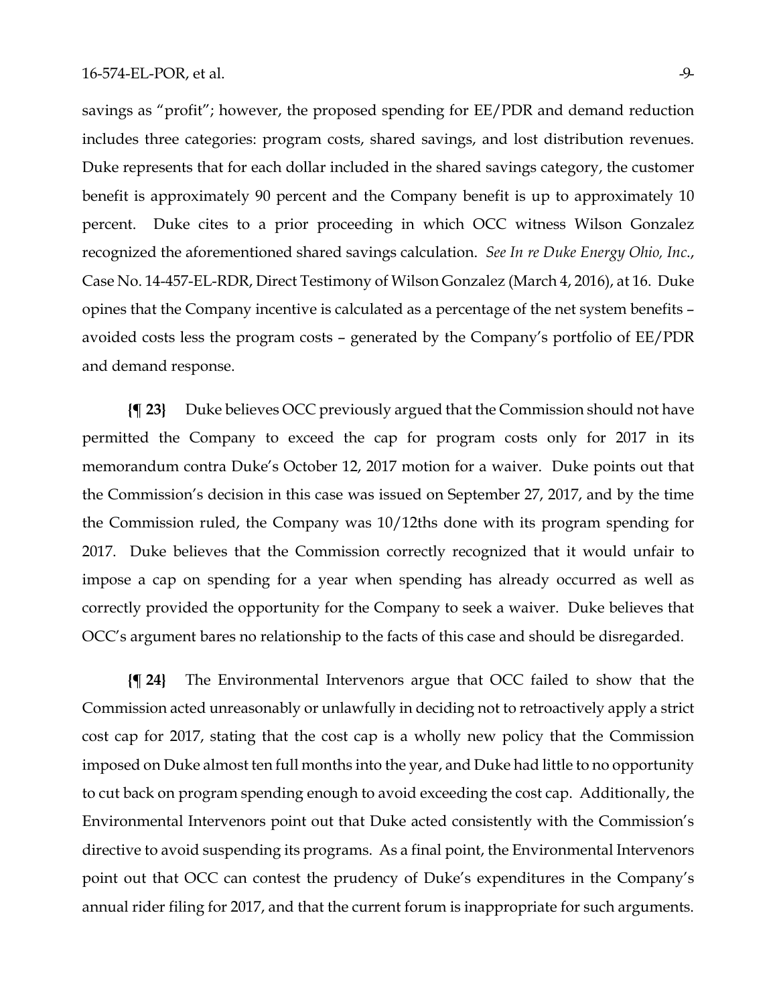savings as "profit"; however, the proposed spending for EE/PDR and demand reduction includes three categories: program costs, shared savings, and lost distribution revenues. Duke represents that for each dollar included in the shared savings category, the customer benefit is approximately 90 percent and the Company benefit is up to approximately 10 percent. Duke cites to a prior proceeding in which OCC witness Wilson Gonzalez recognized the aforementioned shared savings calculation. *See In re Duke Energy Ohio, Inc*., Case No. 14-457-EL-RDR, Direct Testimony of Wilson Gonzalez (March 4, 2016), at 16. Duke opines that the Company incentive is calculated as a percentage of the net system benefits – avoided costs less the program costs – generated by the Company's portfolio of EE/PDR and demand response.

**{¶ 23}** Duke believes OCC previously argued that the Commission should not have permitted the Company to exceed the cap for program costs only for 2017 in its memorandum contra Duke's October 12, 2017 motion for a waiver. Duke points out that the Commission's decision in this case was issued on September 27, 2017, and by the time the Commission ruled, the Company was 10/12ths done with its program spending for 2017. Duke believes that the Commission correctly recognized that it would unfair to impose a cap on spending for a year when spending has already occurred as well as correctly provided the opportunity for the Company to seek a waiver. Duke believes that OCC's argument bares no relationship to the facts of this case and should be disregarded.

**{¶ 24}** The Environmental Intervenors argue that OCC failed to show that the Commission acted unreasonably or unlawfully in deciding not to retroactively apply a strict cost cap for 2017, stating that the cost cap is a wholly new policy that the Commission imposed on Duke almost ten full months into the year, and Duke had little to no opportunity to cut back on program spending enough to avoid exceeding the cost cap. Additionally, the Environmental Intervenors point out that Duke acted consistently with the Commission's directive to avoid suspending its programs. As a final point, the Environmental Intervenors point out that OCC can contest the prudency of Duke's expenditures in the Company's annual rider filing for 2017, and that the current forum is inappropriate for such arguments.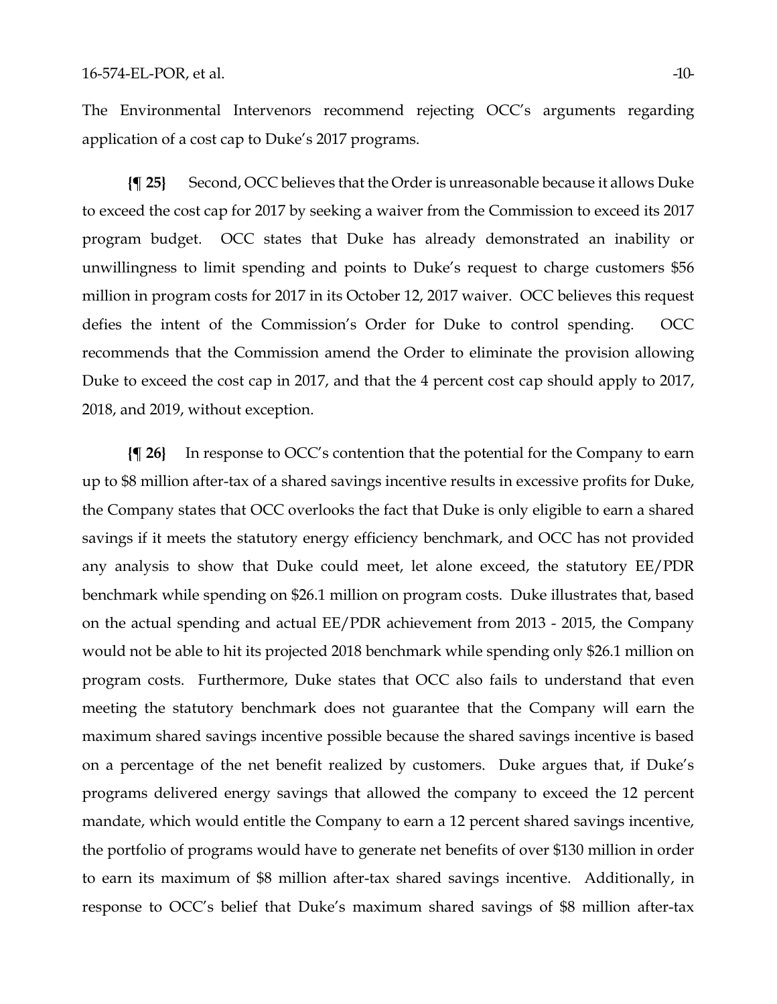The Environmental Intervenors recommend rejecting OCC's arguments regarding application of a cost cap to Duke's 2017 programs.

**{¶ 25}** Second, OCC believes that the Order is unreasonable because it allows Duke to exceed the cost cap for 2017 by seeking a waiver from the Commission to exceed its 2017 program budget. OCC states that Duke has already demonstrated an inability or unwillingness to limit spending and points to Duke's request to charge customers \$56 million in program costs for 2017 in its October 12, 2017 waiver. OCC believes this request defies the intent of the Commission's Order for Duke to control spending. OCC recommends that the Commission amend the Order to eliminate the provision allowing Duke to exceed the cost cap in 2017, and that the 4 percent cost cap should apply to 2017, 2018, and 2019, without exception.

**{¶ 26}** In response to OCC's contention that the potential for the Company to earn up to \$8 million after-tax of a shared savings incentive results in excessive profits for Duke, the Company states that OCC overlooks the fact that Duke is only eligible to earn a shared savings if it meets the statutory energy efficiency benchmark, and OCC has not provided any analysis to show that Duke could meet, let alone exceed, the statutory EE/PDR benchmark while spending on \$26.1 million on program costs. Duke illustrates that, based on the actual spending and actual EE/PDR achievement from 2013 - 2015, the Company would not be able to hit its projected 2018 benchmark while spending only \$26.1 million on program costs. Furthermore, Duke states that OCC also fails to understand that even meeting the statutory benchmark does not guarantee that the Company will earn the maximum shared savings incentive possible because the shared savings incentive is based on a percentage of the net benefit realized by customers. Duke argues that, if Duke's programs delivered energy savings that allowed the company to exceed the 12 percent mandate, which would entitle the Company to earn a 12 percent shared savings incentive, the portfolio of programs would have to generate net benefits of over \$130 million in order to earn its maximum of \$8 million after-tax shared savings incentive. Additionally, in response to OCC's belief that Duke's maximum shared savings of \$8 million after-tax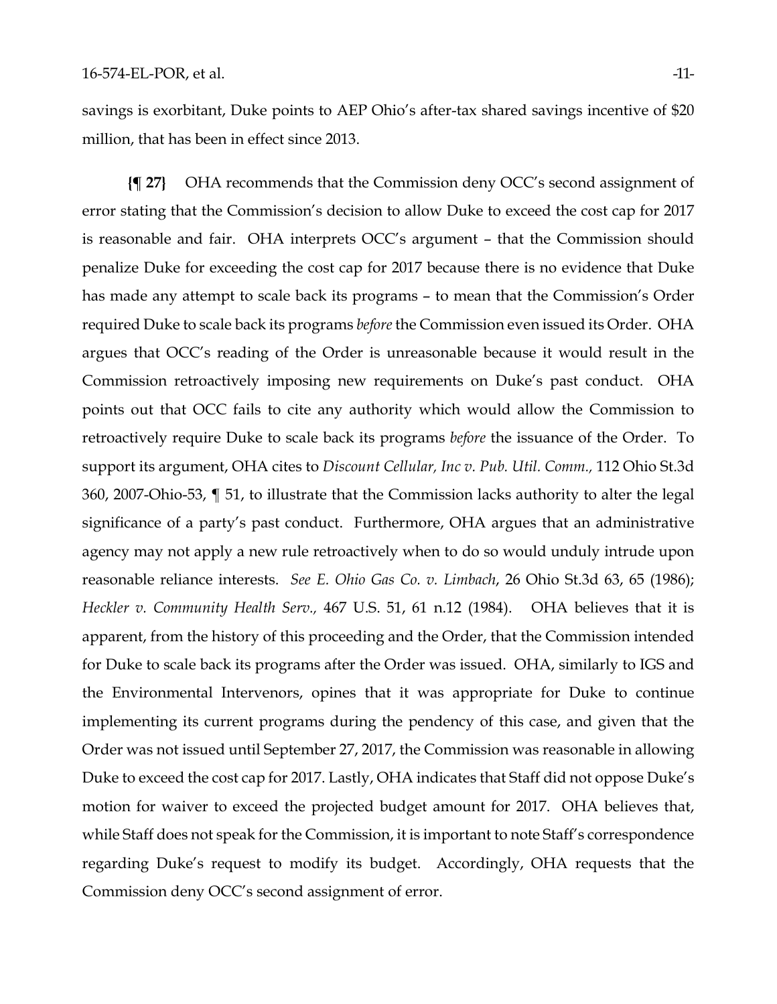savings is exorbitant, Duke points to AEP Ohio's after-tax shared savings incentive of \$20 million, that has been in effect since 2013.

**{¶ 27}** OHA recommends that the Commission deny OCC's second assignment of error stating that the Commission's decision to allow Duke to exceed the cost cap for 2017 is reasonable and fair. OHA interprets OCC's argument – that the Commission should penalize Duke for exceeding the cost cap for 2017 because there is no evidence that Duke has made any attempt to scale back its programs – to mean that the Commission's Order required Duke to scale back its programs *before* the Commission even issued its Order. OHA argues that OCC's reading of the Order is unreasonable because it would result in the Commission retroactively imposing new requirements on Duke's past conduct. OHA points out that OCC fails to cite any authority which would allow the Commission to retroactively require Duke to scale back its programs *before* the issuance of the Order. To support its argument, OHA cites to *Discount Cellular, Inc v. Pub. Util. Comm.,* 112 Ohio St.3d 360, 2007-Ohio-53, ¶ 51, to illustrate that the Commission lacks authority to alter the legal significance of a party's past conduct. Furthermore, OHA argues that an administrative agency may not apply a new rule retroactively when to do so would unduly intrude upon reasonable reliance interests. *See E. Ohio Gas Co. v. Limbach*, 26 Ohio St.3d 63, 65 (1986); *Heckler v. Community Health Serv.,* 467 U.S. 51, 61 n.12 (1984). OHA believes that it is apparent, from the history of this proceeding and the Order, that the Commission intended for Duke to scale back its programs after the Order was issued. OHA, similarly to IGS and the Environmental Intervenors, opines that it was appropriate for Duke to continue implementing its current programs during the pendency of this case, and given that the Order was not issued until September 27, 2017, the Commission was reasonable in allowing Duke to exceed the cost cap for 2017. Lastly, OHA indicates that Staff did not oppose Duke's motion for waiver to exceed the projected budget amount for 2017. OHA believes that, while Staff does not speak for the Commission, it is important to note Staff's correspondence regarding Duke's request to modify its budget. Accordingly, OHA requests that the Commission deny OCC's second assignment of error.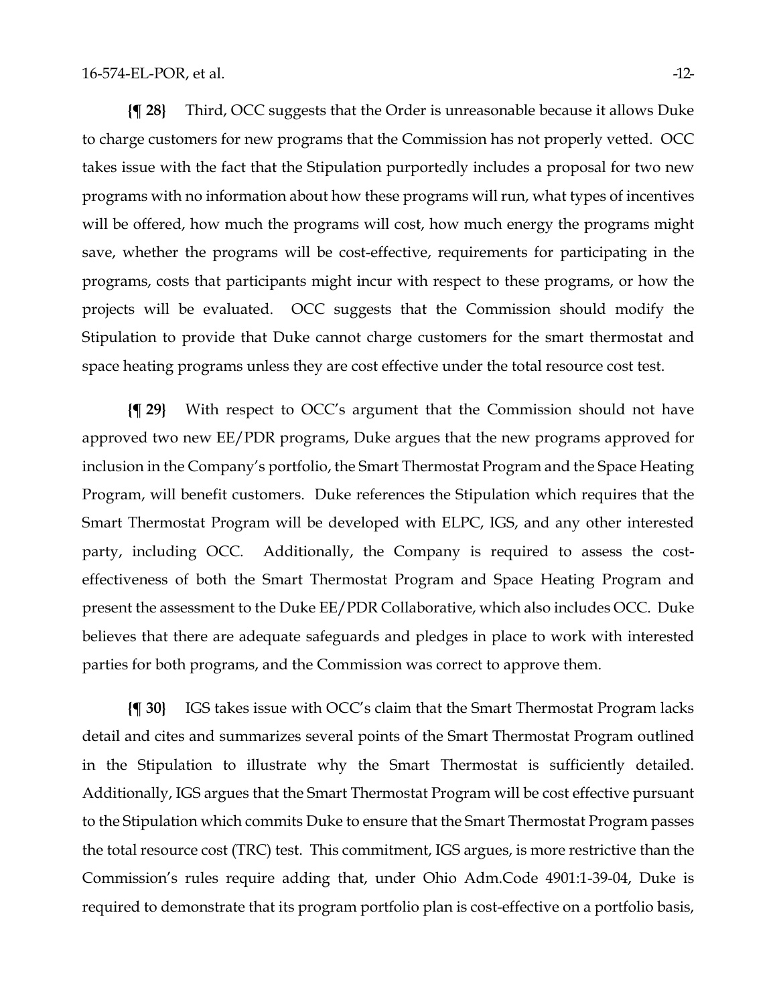**{¶ 28}** Third, OCC suggests that the Order is unreasonable because it allows Duke to charge customers for new programs that the Commission has not properly vetted. OCC takes issue with the fact that the Stipulation purportedly includes a proposal for two new programs with no information about how these programs will run, what types of incentives will be offered, how much the programs will cost, how much energy the programs might save, whether the programs will be cost-effective, requirements for participating in the programs, costs that participants might incur with respect to these programs, or how the projects will be evaluated. OCC suggests that the Commission should modify the Stipulation to provide that Duke cannot charge customers for the smart thermostat and space heating programs unless they are cost effective under the total resource cost test.

**{¶ 29}** With respect to OCC's argument that the Commission should not have approved two new EE/PDR programs, Duke argues that the new programs approved for inclusion in the Company's portfolio, the Smart Thermostat Program and the Space Heating Program, will benefit customers. Duke references the Stipulation which requires that the Smart Thermostat Program will be developed with ELPC, IGS, and any other interested party, including OCC. Additionally, the Company is required to assess the costeffectiveness of both the Smart Thermostat Program and Space Heating Program and present the assessment to the Duke EE/PDR Collaborative, which also includes OCC. Duke believes that there are adequate safeguards and pledges in place to work with interested parties for both programs, and the Commission was correct to approve them.

**{¶ 30}** IGS takes issue with OCC's claim that the Smart Thermostat Program lacks detail and cites and summarizes several points of the Smart Thermostat Program outlined in the Stipulation to illustrate why the Smart Thermostat is sufficiently detailed. Additionally, IGS argues that the Smart Thermostat Program will be cost effective pursuant to the Stipulation which commits Duke to ensure that the Smart Thermostat Program passes the total resource cost (TRC) test. This commitment, IGS argues, is more restrictive than the Commission's rules require adding that, under Ohio Adm.Code 4901:1-39-04, Duke is required to demonstrate that its program portfolio plan is cost-effective on a portfolio basis,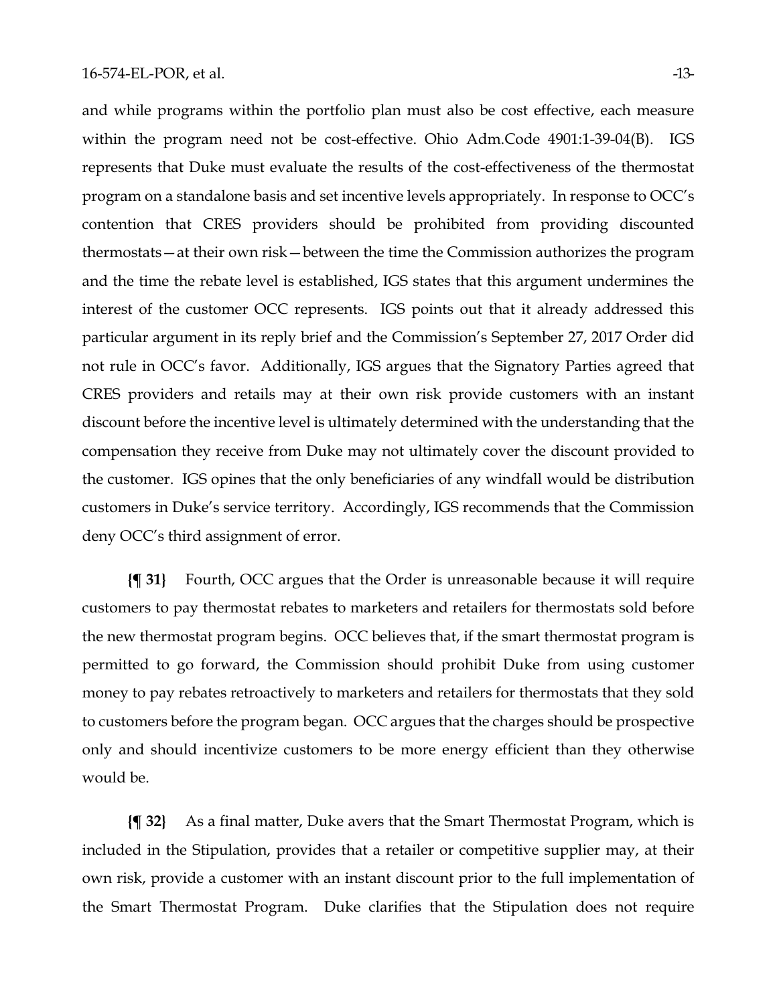and while programs within the portfolio plan must also be cost effective, each measure within the program need not be cost-effective. Ohio Adm.Code 4901:1-39-04(B). IGS represents that Duke must evaluate the results of the cost-effectiveness of the thermostat program on a standalone basis and set incentive levels appropriately. In response to OCC's contention that CRES providers should be prohibited from providing discounted thermostats—at their own risk—between the time the Commission authorizes the program and the time the rebate level is established, IGS states that this argument undermines the interest of the customer OCC represents. IGS points out that it already addressed this particular argument in its reply brief and the Commission's September 27, 2017 Order did not rule in OCC's favor. Additionally, IGS argues that the Signatory Parties agreed that CRES providers and retails may at their own risk provide customers with an instant discount before the incentive level is ultimately determined with the understanding that the compensation they receive from Duke may not ultimately cover the discount provided to the customer. IGS opines that the only beneficiaries of any windfall would be distribution customers in Duke's service territory. Accordingly, IGS recommends that the Commission deny OCC's third assignment of error.

**{¶ 31}** Fourth, OCC argues that the Order is unreasonable because it will require customers to pay thermostat rebates to marketers and retailers for thermostats sold before the new thermostat program begins. OCC believes that, if the smart thermostat program is permitted to go forward, the Commission should prohibit Duke from using customer money to pay rebates retroactively to marketers and retailers for thermostats that they sold to customers before the program began. OCC argues that the charges should be prospective only and should incentivize customers to be more energy efficient than they otherwise would be.

**{¶ 32}** As a final matter, Duke avers that the Smart Thermostat Program, which is included in the Stipulation, provides that a retailer or competitive supplier may, at their own risk, provide a customer with an instant discount prior to the full implementation of the Smart Thermostat Program. Duke clarifies that the Stipulation does not require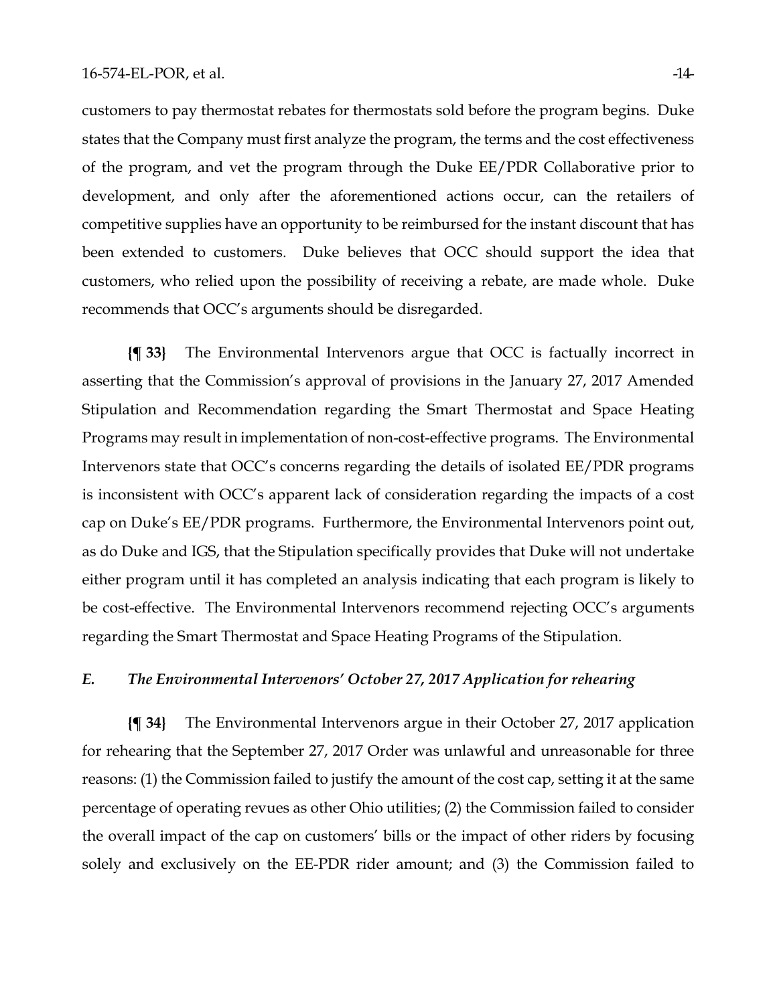customers to pay thermostat rebates for thermostats sold before the program begins. Duke states that the Company must first analyze the program, the terms and the cost effectiveness of the program, and vet the program through the Duke EE/PDR Collaborative prior to development, and only after the aforementioned actions occur, can the retailers of competitive supplies have an opportunity to be reimbursed for the instant discount that has been extended to customers. Duke believes that OCC should support the idea that customers, who relied upon the possibility of receiving a rebate, are made whole. Duke recommends that OCC's arguments should be disregarded.

**{¶ 33}** The Environmental Intervenors argue that OCC is factually incorrect in asserting that the Commission's approval of provisions in the January 27, 2017 Amended Stipulation and Recommendation regarding the Smart Thermostat and Space Heating Programs may result in implementation of non-cost-effective programs. The Environmental Intervenors state that OCC's concerns regarding the details of isolated EE/PDR programs is inconsistent with OCC's apparent lack of consideration regarding the impacts of a cost cap on Duke's EE/PDR programs. Furthermore, the Environmental Intervenors point out, as do Duke and IGS, that the Stipulation specifically provides that Duke will not undertake either program until it has completed an analysis indicating that each program is likely to be cost-effective. The Environmental Intervenors recommend rejecting OCC's arguments regarding the Smart Thermostat and Space Heating Programs of the Stipulation.

## *E. The Environmental Intervenors' October 27, 2017 Application for rehearing*

**{¶ 34}** The Environmental Intervenors argue in their October 27, 2017 application for rehearing that the September 27, 2017 Order was unlawful and unreasonable for three reasons: (1) the Commission failed to justify the amount of the cost cap, setting it at the same percentage of operating revues as other Ohio utilities; (2) the Commission failed to consider the overall impact of the cap on customers' bills or the impact of other riders by focusing solely and exclusively on the EE-PDR rider amount; and (3) the Commission failed to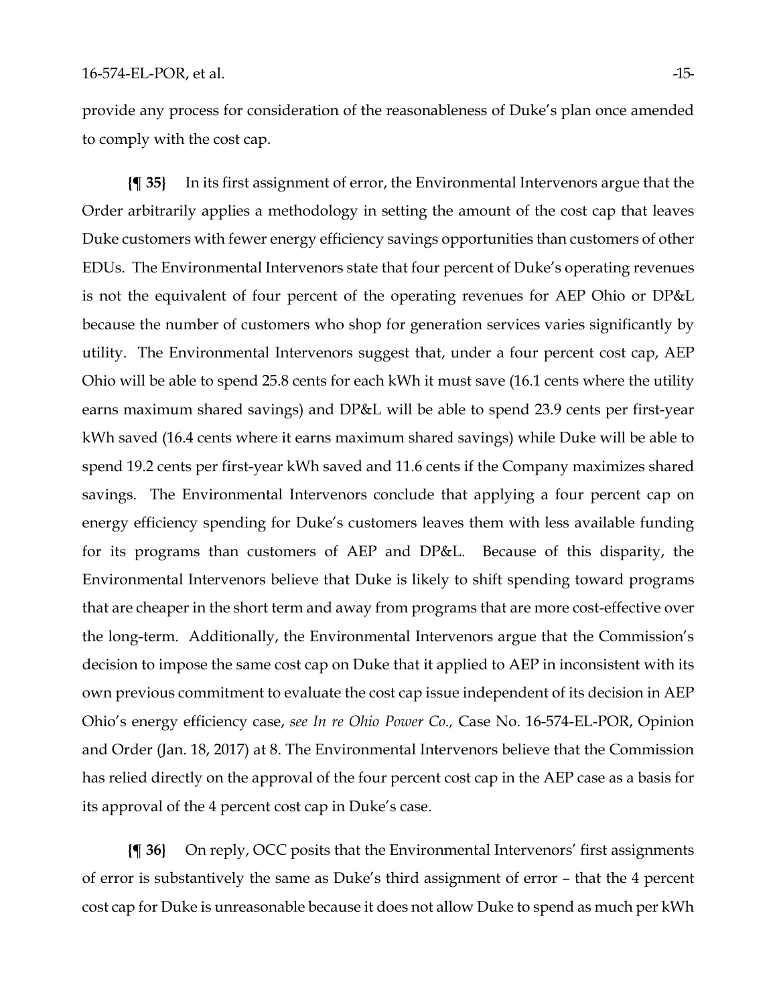provide any process for consideration of the reasonableness of Duke's plan once amended to comply with the cost cap.

**{¶ 35}** In its first assignment of error, the Environmental Intervenors argue that the Order arbitrarily applies a methodology in setting the amount of the cost cap that leaves Duke customers with fewer energy efficiency savings opportunities than customers of other EDUs. The Environmental Intervenors state that four percent of Duke's operating revenues is not the equivalent of four percent of the operating revenues for AEP Ohio or DP&L because the number of customers who shop for generation services varies significantly by utility. The Environmental Intervenors suggest that, under a four percent cost cap, AEP Ohio will be able to spend 25.8 cents for each kWh it must save (16.1 cents where the utility earns maximum shared savings) and DP&L will be able to spend 23.9 cents per first-year kWh saved (16.4 cents where it earns maximum shared savings) while Duke will be able to spend 19.2 cents per first-year kWh saved and 11.6 cents if the Company maximizes shared savings. The Environmental Intervenors conclude that applying a four percent cap on energy efficiency spending for Duke's customers leaves them with less available funding for its programs than customers of AEP and DP&L. Because of this disparity, the Environmental Intervenors believe that Duke is likely to shift spending toward programs that are cheaper in the short term and away from programs that are more cost-effective over the long-term. Additionally, the Environmental Intervenors argue that the Commission's decision to impose the same cost cap on Duke that it applied to AEP in inconsistent with its own previous commitment to evaluate the cost cap issue independent of its decision in AEP Ohio's energy efficiency case, *see In re Ohio Power Co.,* Case No. 16-574-EL-POR, Opinion and Order (Jan. 18, 2017) at 8. The Environmental Intervenors believe that the Commission has relied directly on the approval of the four percent cost cap in the AEP case as a basis for its approval of the 4 percent cost cap in Duke's case.

**{¶ 36}** On reply, OCC posits that the Environmental Intervenors' first assignments of error is substantively the same as Duke's third assignment of error – that the 4 percent cost cap for Duke is unreasonable because it does not allow Duke to spend as much per kWh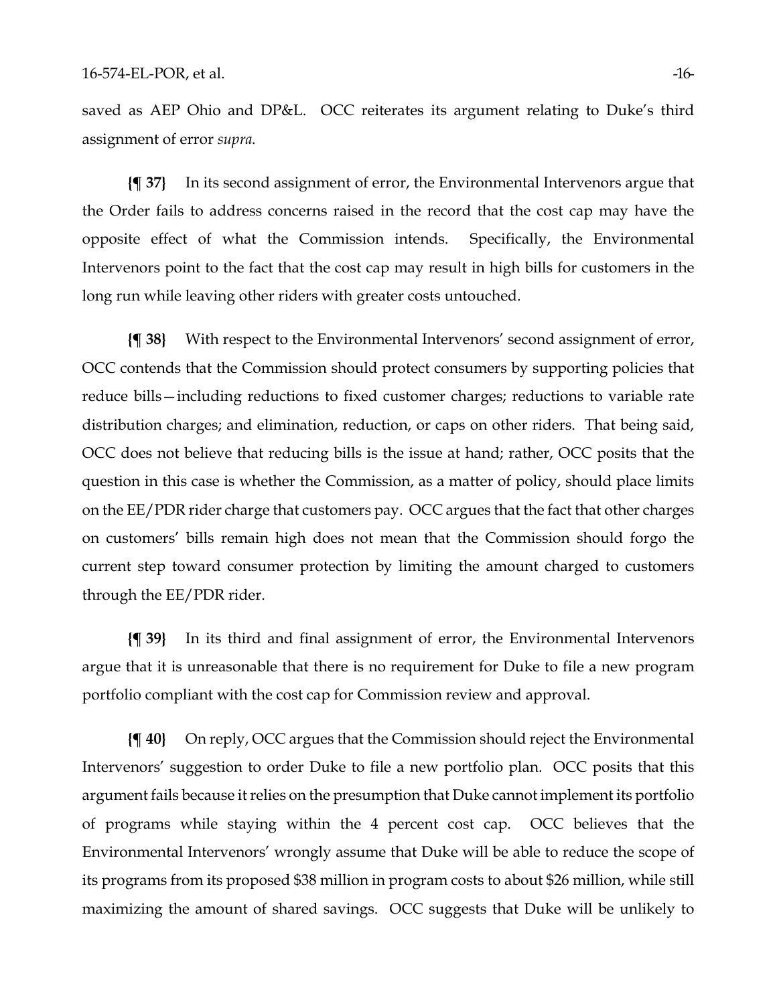saved as AEP Ohio and DP&L. OCC reiterates its argument relating to Duke's third assignment of error *supra.*

**{¶ 37}** In its second assignment of error, the Environmental Intervenors argue that the Order fails to address concerns raised in the record that the cost cap may have the opposite effect of what the Commission intends. Specifically, the Environmental Intervenors point to the fact that the cost cap may result in high bills for customers in the long run while leaving other riders with greater costs untouched.

**{¶ 38}** With respect to the Environmental Intervenors' second assignment of error, OCC contends that the Commission should protect consumers by supporting policies that reduce bills—including reductions to fixed customer charges; reductions to variable rate distribution charges; and elimination, reduction, or caps on other riders. That being said, OCC does not believe that reducing bills is the issue at hand; rather, OCC posits that the question in this case is whether the Commission, as a matter of policy, should place limits on the EE/PDR rider charge that customers pay. OCC argues that the fact that other charges on customers' bills remain high does not mean that the Commission should forgo the current step toward consumer protection by limiting the amount charged to customers through the EE/PDR rider.

**{¶ 39}** In its third and final assignment of error, the Environmental Intervenors argue that it is unreasonable that there is no requirement for Duke to file a new program portfolio compliant with the cost cap for Commission review and approval.

**{¶ 40}** On reply, OCC argues that the Commission should reject the Environmental Intervenors' suggestion to order Duke to file a new portfolio plan. OCC posits that this argument fails because it relies on the presumption that Duke cannot implement its portfolio of programs while staying within the 4 percent cost cap. OCC believes that the Environmental Intervenors' wrongly assume that Duke will be able to reduce the scope of its programs from its proposed \$38 million in program costs to about \$26 million, while still maximizing the amount of shared savings. OCC suggests that Duke will be unlikely to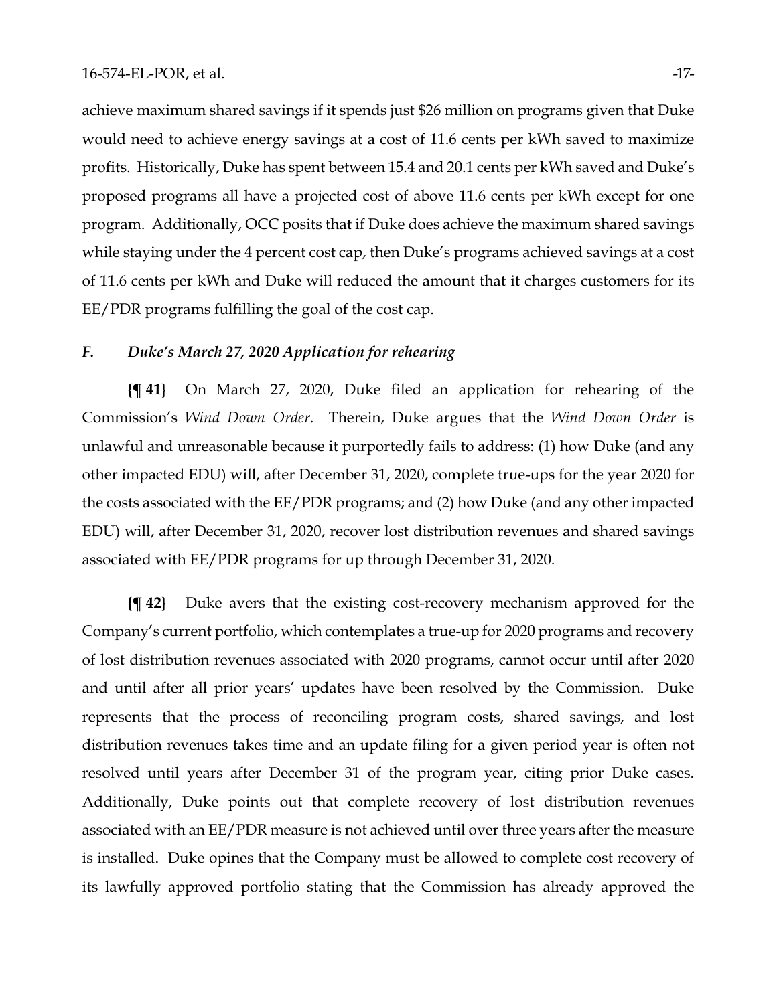#### 16-574-EL-POR, et al.  $-17$ -

achieve maximum shared savings if it spends just \$26 million on programs given that Duke would need to achieve energy savings at a cost of 11.6 cents per kWh saved to maximize profits. Historically, Duke has spent between 15.4 and 20.1 cents per kWh saved and Duke's proposed programs all have a projected cost of above 11.6 cents per kWh except for one program. Additionally, OCC posits that if Duke does achieve the maximum shared savings while staying under the 4 percent cost cap, then Duke's programs achieved savings at a cost of 11.6 cents per kWh and Duke will reduced the amount that it charges customers for its EE/PDR programs fulfilling the goal of the cost cap.

## *F. Duke's March 27, 2020 Application for rehearing*

**{¶ 41}** On March 27, 2020, Duke filed an application for rehearing of the Commission's *Wind Down Order*. Therein, Duke argues that the *Wind Down Order* is unlawful and unreasonable because it purportedly fails to address: (1) how Duke (and any other impacted EDU) will, after December 31, 2020, complete true-ups for the year 2020 for the costs associated with the EE/PDR programs; and (2) how Duke (and any other impacted EDU) will, after December 31, 2020, recover lost distribution revenues and shared savings associated with EE/PDR programs for up through December 31, 2020.

**{¶ 42}** Duke avers that the existing cost-recovery mechanism approved for the Company's current portfolio, which contemplates a true-up for 2020 programs and recovery of lost distribution revenues associated with 2020 programs, cannot occur until after 2020 and until after all prior years' updates have been resolved by the Commission. Duke represents that the process of reconciling program costs, shared savings, and lost distribution revenues takes time and an update filing for a given period year is often not resolved until years after December 31 of the program year, citing prior Duke cases. Additionally, Duke points out that complete recovery of lost distribution revenues associated with an EE/PDR measure is not achieved until over three years after the measure is installed. Duke opines that the Company must be allowed to complete cost recovery of its lawfully approved portfolio stating that the Commission has already approved the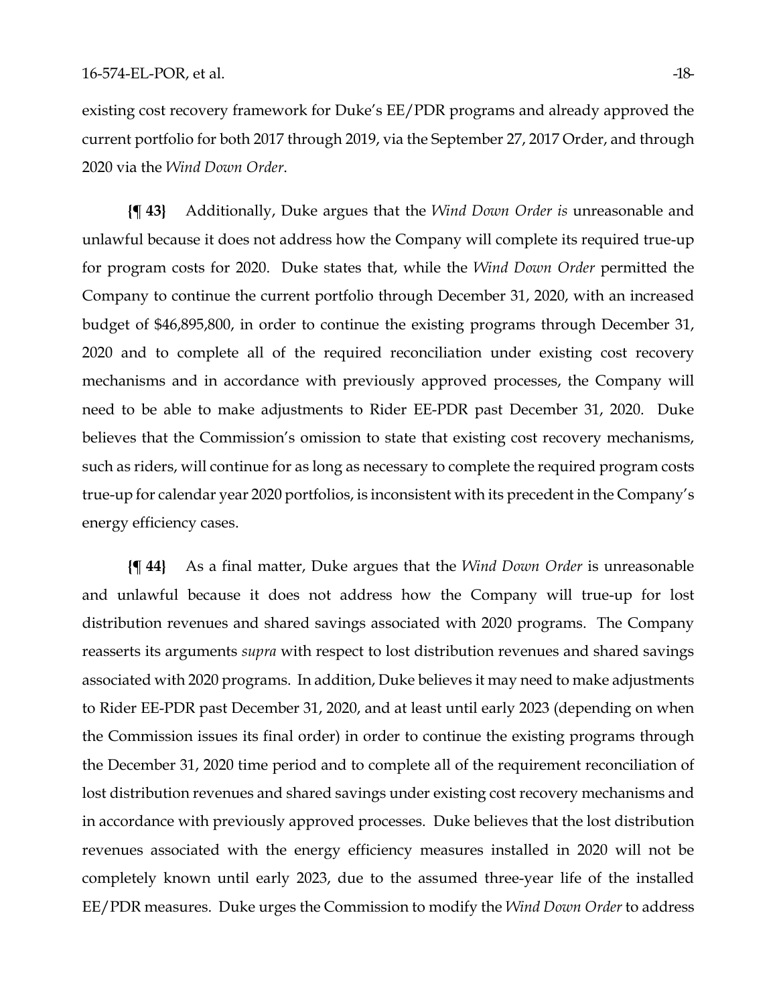existing cost recovery framework for Duke's EE/PDR programs and already approved the current portfolio for both 2017 through 2019, via the September 27, 2017 Order, and through 2020 via the *Wind Down Order*.

**{¶ 43}** Additionally, Duke argues that the *Wind Down Order is* unreasonable and unlawful because it does not address how the Company will complete its required true-up for program costs for 2020. Duke states that, while the *Wind Down Order* permitted the Company to continue the current portfolio through December 31, 2020, with an increased budget of \$46,895,800, in order to continue the existing programs through December 31, 2020 and to complete all of the required reconciliation under existing cost recovery mechanisms and in accordance with previously approved processes, the Company will need to be able to make adjustments to Rider EE-PDR past December 31, 2020. Duke believes that the Commission's omission to state that existing cost recovery mechanisms, such as riders, will continue for as long as necessary to complete the required program costs true-up for calendar year 2020 portfolios, is inconsistent with its precedent in the Company's energy efficiency cases.

**{¶ 44}** As a final matter, Duke argues that the *Wind Down Order* is unreasonable and unlawful because it does not address how the Company will true-up for lost distribution revenues and shared savings associated with 2020 programs. The Company reasserts its arguments *supra* with respect to lost distribution revenues and shared savings associated with 2020 programs. In addition, Duke believes it may need to make adjustments to Rider EE-PDR past December 31, 2020, and at least until early 2023 (depending on when the Commission issues its final order) in order to continue the existing programs through the December 31, 2020 time period and to complete all of the requirement reconciliation of lost distribution revenues and shared savings under existing cost recovery mechanisms and in accordance with previously approved processes. Duke believes that the lost distribution revenues associated with the energy efficiency measures installed in 2020 will not be completely known until early 2023, due to the assumed three-year life of the installed EE/PDR measures. Duke urges the Commission to modify the *Wind Down Order* to address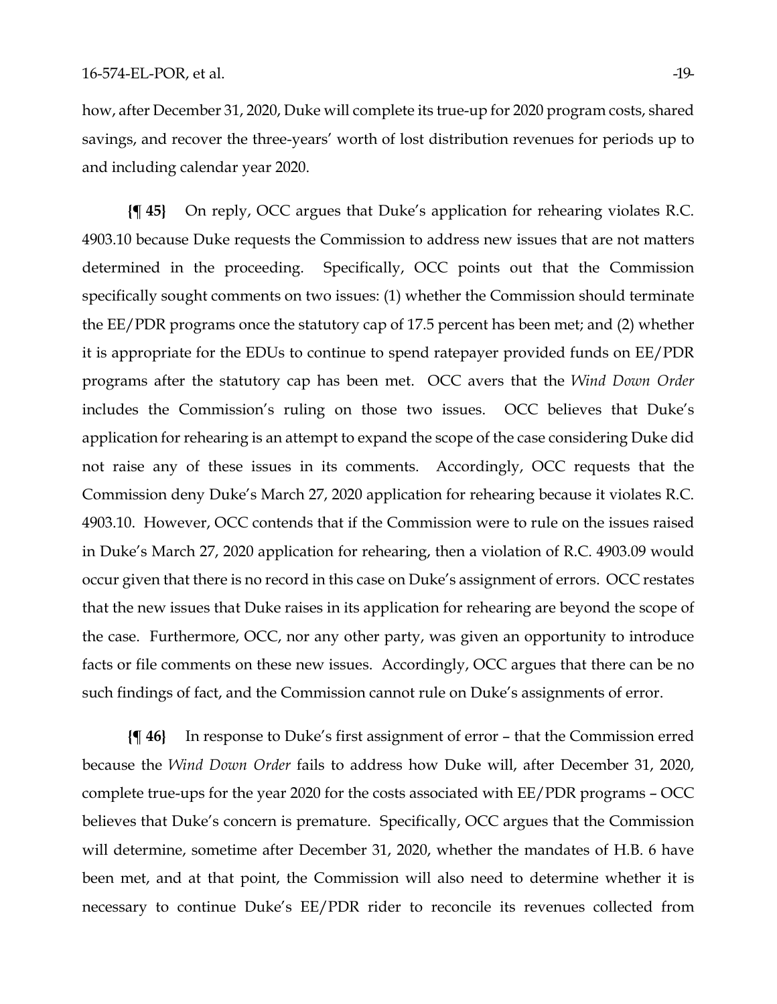how, after December 31, 2020, Duke will complete its true-up for 2020 program costs, shared savings, and recover the three-years' worth of lost distribution revenues for periods up to and including calendar year 2020.

**{¶ 45}** On reply, OCC argues that Duke's application for rehearing violates R.C. 4903.10 because Duke requests the Commission to address new issues that are not matters determined in the proceeding. Specifically, OCC points out that the Commission specifically sought comments on two issues: (1) whether the Commission should terminate the EE/PDR programs once the statutory cap of 17.5 percent has been met; and (2) whether it is appropriate for the EDUs to continue to spend ratepayer provided funds on EE/PDR programs after the statutory cap has been met. OCC avers that the *Wind Down Order* includes the Commission's ruling on those two issues. OCC believes that Duke's application for rehearing is an attempt to expand the scope of the case considering Duke did not raise any of these issues in its comments. Accordingly, OCC requests that the Commission deny Duke's March 27, 2020 application for rehearing because it violates R.C. 4903.10. However, OCC contends that if the Commission were to rule on the issues raised in Duke's March 27, 2020 application for rehearing, then a violation of R.C. 4903.09 would occur given that there is no record in this case on Duke's assignment of errors. OCC restates that the new issues that Duke raises in its application for rehearing are beyond the scope of the case. Furthermore, OCC, nor any other party, was given an opportunity to introduce facts or file comments on these new issues. Accordingly, OCC argues that there can be no such findings of fact, and the Commission cannot rule on Duke's assignments of error.

**{¶ 46}** In response to Duke's first assignment of error – that the Commission erred because the *Wind Down Order* fails to address how Duke will, after December 31, 2020, complete true-ups for the year 2020 for the costs associated with EE/PDR programs – OCC believes that Duke's concern is premature. Specifically, OCC argues that the Commission will determine, sometime after December 31, 2020, whether the mandates of H.B. 6 have been met, and at that point, the Commission will also need to determine whether it is necessary to continue Duke's EE/PDR rider to reconcile its revenues collected from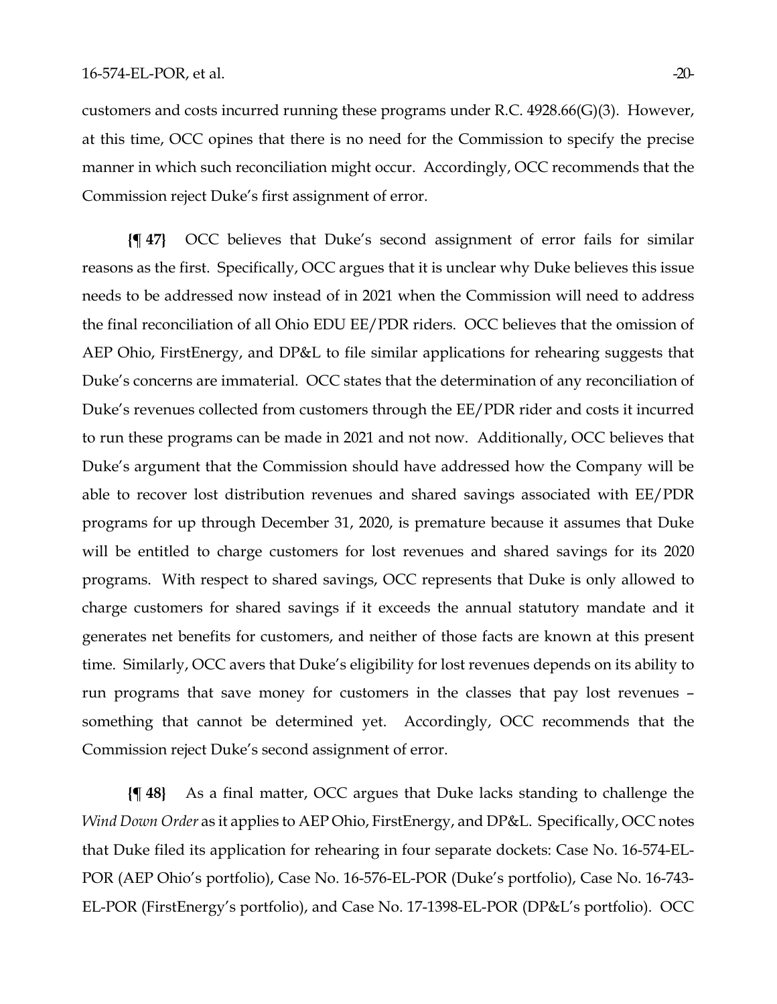customers and costs incurred running these programs under R.C. 4928.66(G)(3). However, at this time, OCC opines that there is no need for the Commission to specify the precise manner in which such reconciliation might occur. Accordingly, OCC recommends that the Commission reject Duke's first assignment of error.

**{¶ 47}** OCC believes that Duke's second assignment of error fails for similar reasons as the first. Specifically, OCC argues that it is unclear why Duke believes this issue needs to be addressed now instead of in 2021 when the Commission will need to address the final reconciliation of all Ohio EDU EE/PDR riders. OCC believes that the omission of AEP Ohio, FirstEnergy, and DP&L to file similar applications for rehearing suggests that Duke's concerns are immaterial. OCC states that the determination of any reconciliation of Duke's revenues collected from customers through the EE/PDR rider and costs it incurred to run these programs can be made in 2021 and not now. Additionally, OCC believes that Duke's argument that the Commission should have addressed how the Company will be able to recover lost distribution revenues and shared savings associated with EE/PDR programs for up through December 31, 2020, is premature because it assumes that Duke will be entitled to charge customers for lost revenues and shared savings for its 2020 programs. With respect to shared savings, OCC represents that Duke is only allowed to charge customers for shared savings if it exceeds the annual statutory mandate and it generates net benefits for customers, and neither of those facts are known at this present time. Similarly, OCC avers that Duke's eligibility for lost revenues depends on its ability to run programs that save money for customers in the classes that pay lost revenues – something that cannot be determined yet. Accordingly, OCC recommends that the Commission reject Duke's second assignment of error.

**{¶ 48}** As a final matter, OCC argues that Duke lacks standing to challenge the *Wind Down Order* as it applies to AEP Ohio, FirstEnergy, and DP&L. Specifically, OCC notes that Duke filed its application for rehearing in four separate dockets: Case No. 16-574-EL-POR (AEP Ohio's portfolio), Case No. 16-576-EL-POR (Duke's portfolio), Case No. 16-743- EL-POR (FirstEnergy's portfolio), and Case No. 17-1398-EL-POR (DP&L's portfolio). OCC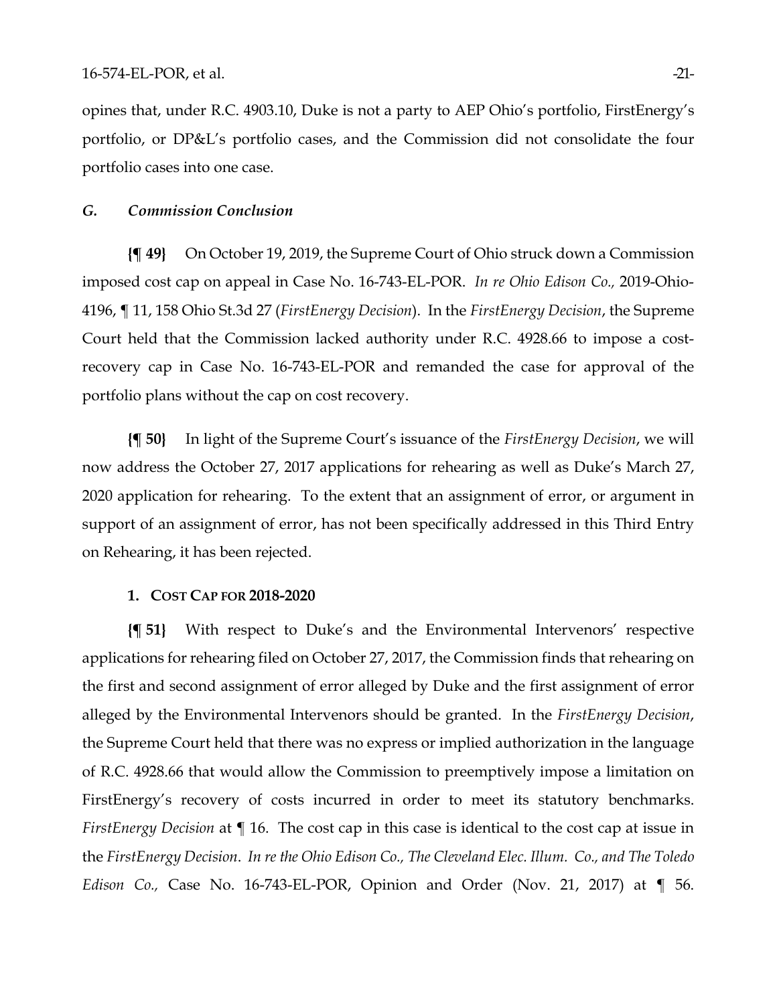opines that, under R.C. 4903.10, Duke is not a party to AEP Ohio's portfolio, FirstEnergy's portfolio, or DP&L's portfolio cases, and the Commission did not consolidate the four portfolio cases into one case.

## *G. Commission Conclusion*

**{¶ 49}** On October 19, 2019, the Supreme Court of Ohio struck down a Commission imposed cost cap on appeal in Case No. 16-743-EL-POR. *In re Ohio Edison Co.,* 2019-Ohio-4196, ¶ 11, 158 Ohio St.3d 27 (*FirstEnergy Decision*). In the *FirstEnergy Decision*, the Supreme Court held that the Commission lacked authority under R.C. 4928.66 to impose a costrecovery cap in Case No. 16-743-EL-POR and remanded the case for approval of the portfolio plans without the cap on cost recovery.

**{¶ 50}** In light of the Supreme Court's issuance of the *FirstEnergy Decision*, we will now address the October 27, 2017 applications for rehearing as well as Duke's March 27, 2020 application for rehearing. To the extent that an assignment of error, or argument in support of an assignment of error, has not been specifically addressed in this Third Entry on Rehearing, it has been rejected.

#### **1. COST CAP FOR 2018-2020**

**{¶ 51}** With respect to Duke's and the Environmental Intervenors' respective applications for rehearing filed on October 27, 2017, the Commission finds that rehearing on the first and second assignment of error alleged by Duke and the first assignment of error alleged by the Environmental Intervenors should be granted. In the *FirstEnergy Decision*, the Supreme Court held that there was no express or implied authorization in the language of R.C. 4928.66 that would allow the Commission to preemptively impose a limitation on FirstEnergy's recovery of costs incurred in order to meet its statutory benchmarks. *FirstEnergy Decision* at ¶ 16. The cost cap in this case is identical to the cost cap at issue in the *FirstEnergy Decision*. *In re the Ohio Edison Co., The Cleveland Elec. Illum. Co., and The Toledo Edison Co.,* Case No. 16-743-EL-POR, Opinion and Order (Nov. 21, 2017) at ¶ 56.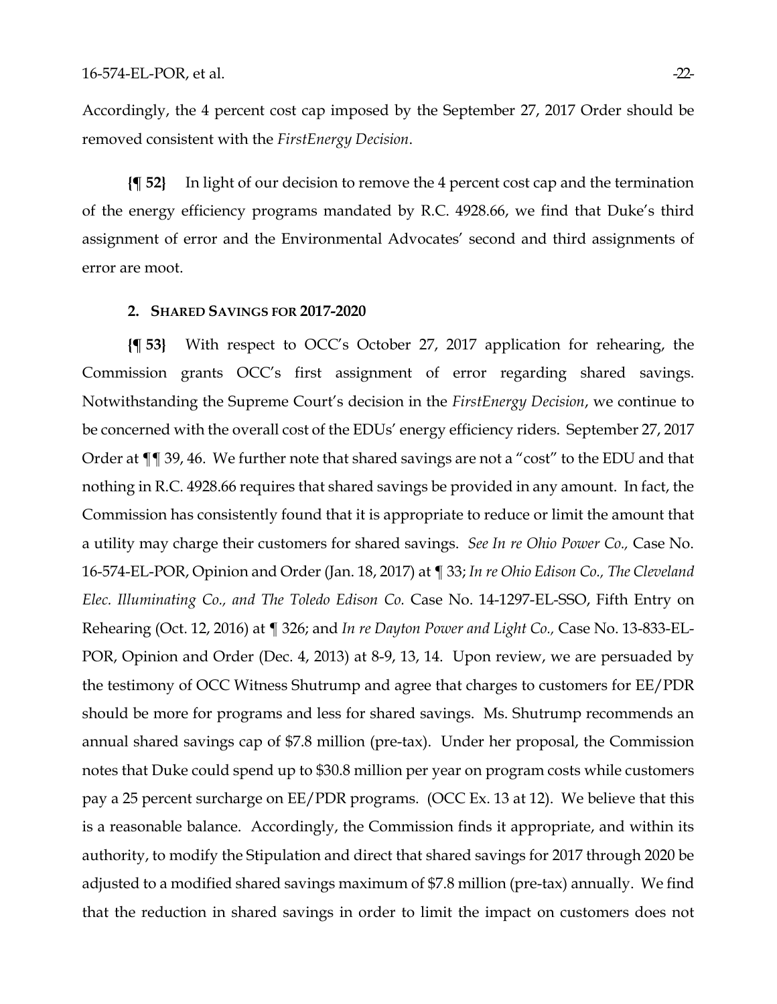Accordingly, the 4 percent cost cap imposed by the September 27, 2017 Order should be removed consistent with the *FirstEnergy Decision*.

**{¶ 52}** In light of our decision to remove the 4 percent cost cap and the termination of the energy efficiency programs mandated by R.C. 4928.66, we find that Duke's third assignment of error and the Environmental Advocates' second and third assignments of error are moot.

#### **2. SHARED SAVINGS FOR 2017-2020**

**{¶ 53}** With respect to OCC's October 27, 2017 application for rehearing, the Commission grants OCC's first assignment of error regarding shared savings. Notwithstanding the Supreme Court's decision in the *FirstEnergy Decision*, we continue to be concerned with the overall cost of the EDUs' energy efficiency riders. September 27, 2017 Order at ¶¶ 39, 46. We further note that shared savings are not a "cost" to the EDU and that nothing in R.C. 4928.66 requires that shared savings be provided in any amount. In fact, the Commission has consistently found that it is appropriate to reduce or limit the amount that a utility may charge their customers for shared savings. *See In re Ohio Power Co.,* Case No. 16-574-EL-POR, Opinion and Order (Jan. 18, 2017) at ¶ 33; *In re Ohio Edison Co., The Cleveland Elec. Illuminating Co., and The Toledo Edison Co.* Case No. 14-1297-EL-SSO, Fifth Entry on Rehearing (Oct. 12, 2016) at ¶ 326; and *In re Dayton Power and Light Co.,* Case No. 13-833-EL-POR, Opinion and Order (Dec. 4, 2013) at 8-9, 13, 14. Upon review, we are persuaded by the testimony of OCC Witness Shutrump and agree that charges to customers for EE/PDR should be more for programs and less for shared savings. Ms. Shutrump recommends an annual shared savings cap of \$7.8 million (pre-tax). Under her proposal, the Commission notes that Duke could spend up to \$30.8 million per year on program costs while customers pay a 25 percent surcharge on EE/PDR programs. (OCC Ex. 13 at 12). We believe that this is a reasonable balance. Accordingly, the Commission finds it appropriate, and within its authority, to modify the Stipulation and direct that shared savings for 2017 through 2020 be adjusted to a modified shared savings maximum of \$7.8 million (pre-tax) annually. We find that the reduction in shared savings in order to limit the impact on customers does not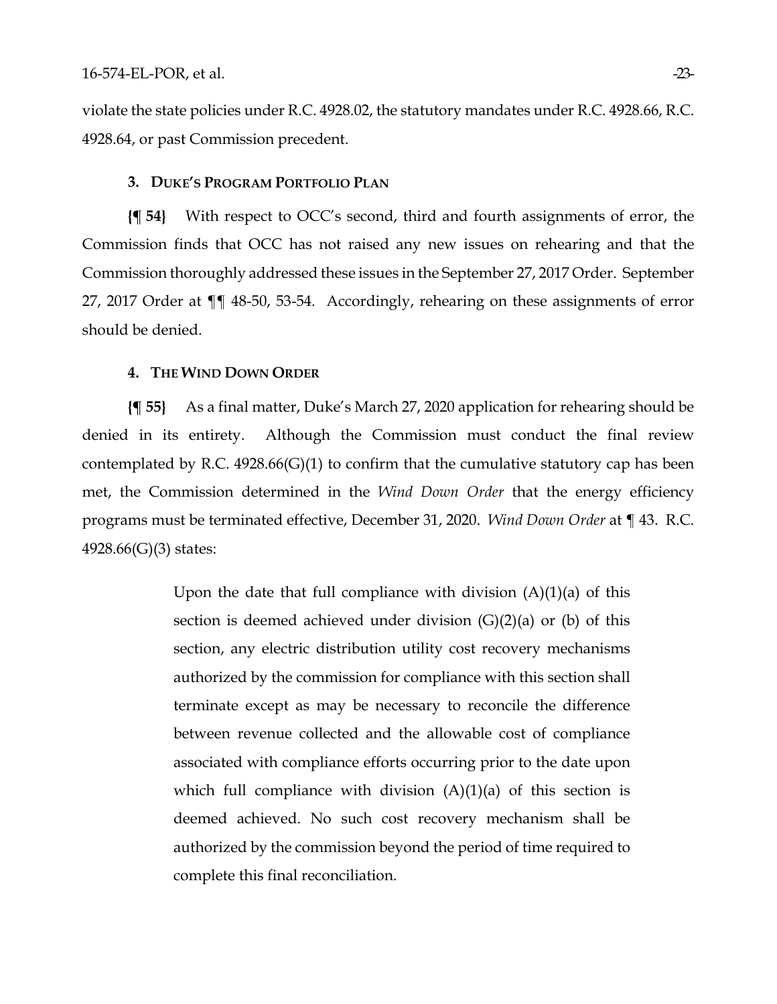violate the state policies under R.C. 4928.02, the statutory mandates under R.C. 4928.66, R.C. 4928.64, or past Commission precedent.

## **3. DUKE'S PROGRAM PORTFOLIO PLAN**

**{¶ 54}** With respect to OCC's second, third and fourth assignments of error, the Commission finds that OCC has not raised any new issues on rehearing and that the Commission thoroughly addressed these issues in the September 27, 2017 Order. September 27, 2017 Order at ¶¶ 48-50, 53-54. Accordingly, rehearing on these assignments of error should be denied.

### **4. THE WIND DOWN ORDER**

**{¶ 55}** As a final matter, Duke's March 27, 2020 application for rehearing should be denied in its entirety. Although the Commission must conduct the final review contemplated by R.C.  $4928.66(G)(1)$  to confirm that the cumulative statutory cap has been met, the Commission determined in the *Wind Down Order* that the energy efficiency programs must be terminated effective, December 31, 2020. *Wind Down Order* at ¶ 43. R.C. 4928.66(G)(3) states:

> Upon the date that full compliance with division  $(A)(1)(a)$  of this section is deemed achieved under division  $(G)(2)(a)$  or  $(b)$  of this section, any electric distribution utility cost recovery mechanisms authorized by the commission for compliance with this section shall terminate except as may be necessary to reconcile the difference between revenue collected and the allowable cost of compliance associated with compliance efforts occurring prior to the date upon which full compliance with division  $(A)(1)(a)$  of this section is deemed achieved. No such cost recovery mechanism shall be authorized by the commission beyond the period of time required to complete this final reconciliation.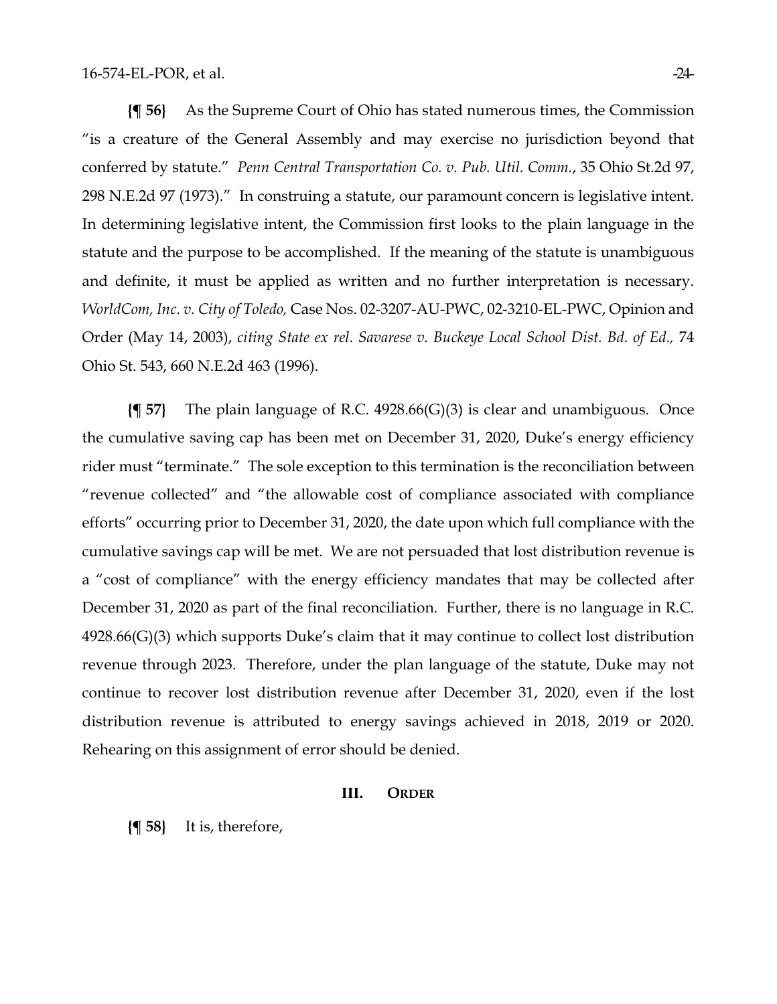**{¶ 56}** As the Supreme Court of Ohio has stated numerous times, the Commission "is a creature of the General Assembly and may exercise no jurisdiction beyond that conferred by statute." *Penn Central Transportation Co. v. Pub. Util. Comm.*, 35 Ohio St.2d 97, 298 N.E.2d 97 (1973)." In construing a statute, our paramount concern is legislative intent. In determining legislative intent, the Commission first looks to the plain language in the statute and the purpose to be accomplished. If the meaning of the statute is unambiguous and definite, it must be applied as written and no further interpretation is necessary. *WorldCom, Inc. v. City of Toledo,* Case Nos. 02-3207-AU-PWC, 02-3210-EL-PWC, Opinion and Order (May 14, 2003), *citing State ex rel. Savarese v. Buckeye Local School Dist. Bd. of Ed.,* 74 Ohio St. 543, 660 N.E.2d 463 (1996).

**{¶ 57}** The plain language of R.C. 4928.66(G)(3) is clear and unambiguous. Once the cumulative saving cap has been met on December 31, 2020, Duke's energy efficiency rider must "terminate." The sole exception to this termination is the reconciliation between "revenue collected" and "the allowable cost of compliance associated with compliance efforts" occurring prior to December 31, 2020, the date upon which full compliance with the cumulative savings cap will be met. We are not persuaded that lost distribution revenue is a "cost of compliance" with the energy efficiency mandates that may be collected after December 31, 2020 as part of the final reconciliation. Further, there is no language in R.C. 4928.66(G)(3) which supports Duke's claim that it may continue to collect lost distribution revenue through 2023. Therefore, under the plan language of the statute, Duke may not continue to recover lost distribution revenue after December 31, 2020, even if the lost distribution revenue is attributed to energy savings achieved in 2018, 2019 or 2020. Rehearing on this assignment of error should be denied.

## **III. ORDER**

**{¶ 58}** It is, therefore,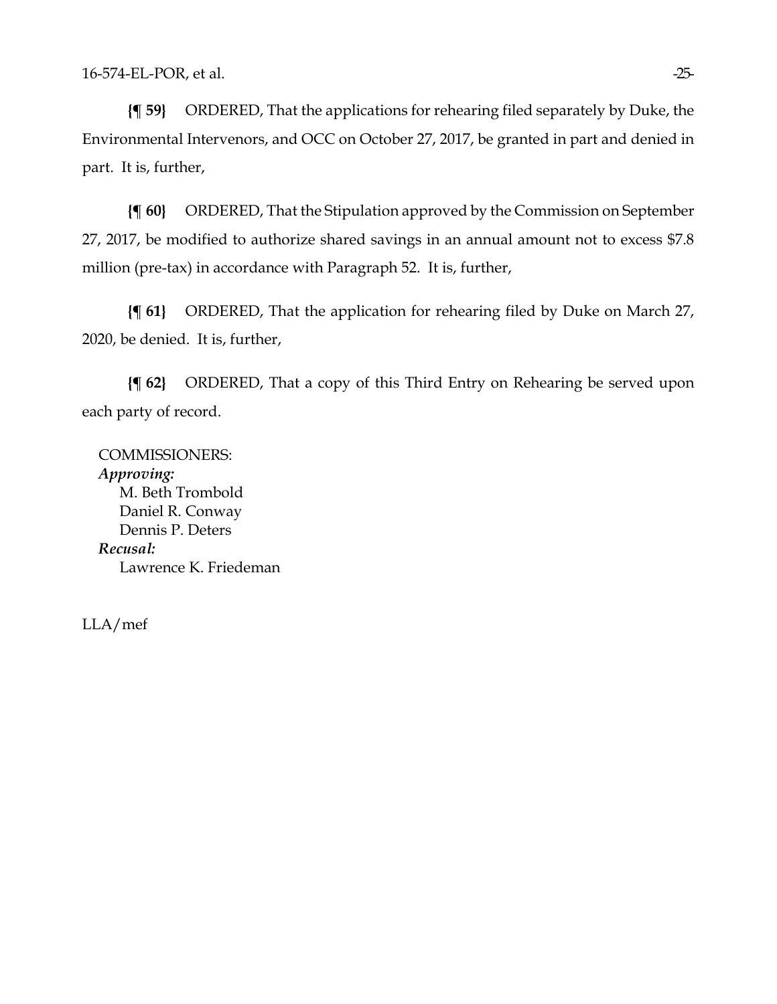**{¶ 59}** ORDERED, That the applications for rehearing filed separately by Duke, the Environmental Intervenors, and OCC on October 27, 2017, be granted in part and denied in part. It is, further,

**{¶ 60}** ORDERED, That the Stipulation approved by the Commission on September 27, 2017, be modified to authorize shared savings in an annual amount not to excess \$7.8 million (pre-tax) in accordance with Paragraph 52. It is, further,

**{¶ 61}** ORDERED, That the application for rehearing filed by Duke on March 27, 2020, be denied. It is, further,

**{¶ 62}** ORDERED, That a copy of this Third Entry on Rehearing be served upon each party of record.

COMMISSIONERS: *Approving:*  M. Beth Trombold Daniel R. Conway Dennis P. Deters *Recusal:*  Lawrence K. Friedeman

LLA/mef